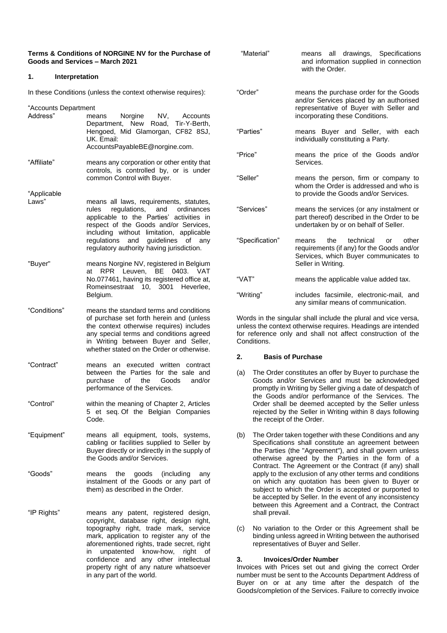| Terms & Conditions of NORGINE NV for the Purchase of<br>Goods and Services - March 2021                                                 |                                                                                                                                                                                                                                                                                                     | "Material"                                                                                                                                                                                                                                                                                                                                                                                                                                                                                                                                                                                  | means all drawings, Specifications<br>and information supplied in connection<br>with the Order.                                                                                                                                               |
|-----------------------------------------------------------------------------------------------------------------------------------------|-----------------------------------------------------------------------------------------------------------------------------------------------------------------------------------------------------------------------------------------------------------------------------------------------------|---------------------------------------------------------------------------------------------------------------------------------------------------------------------------------------------------------------------------------------------------------------------------------------------------------------------------------------------------------------------------------------------------------------------------------------------------------------------------------------------------------------------------------------------------------------------------------------------|-----------------------------------------------------------------------------------------------------------------------------------------------------------------------------------------------------------------------------------------------|
| 1.                                                                                                                                      | Interpretation                                                                                                                                                                                                                                                                                      |                                                                                                                                                                                                                                                                                                                                                                                                                                                                                                                                                                                             |                                                                                                                                                                                                                                               |
| In these Conditions (unless the context otherwise requires):<br>"Accounts Department<br>Address"<br>Norgine<br>NV,<br>Accounts<br>means |                                                                                                                                                                                                                                                                                                     | "Order"                                                                                                                                                                                                                                                                                                                                                                                                                                                                                                                                                                                     | means the purchase order for the Goods<br>and/or Services placed by an authorised<br>representative of Buyer with Seller and<br>incorporating these Conditions.                                                                               |
|                                                                                                                                         | Department, New Road, Tir-Y-Berth,<br>Hengoed, Mid Glamorgan, CF82 8SJ,<br>UK. Email:<br>AccountsPayableBE@norgine.com.                                                                                                                                                                             | "Parties"                                                                                                                                                                                                                                                                                                                                                                                                                                                                                                                                                                                   | means Buyer and Seller, with each<br>individually constituting a Party.                                                                                                                                                                       |
| "Affiliate"                                                                                                                             | means any corporation or other entity that<br>controls, is controlled by, or is under                                                                                                                                                                                                               | "Price"                                                                                                                                                                                                                                                                                                                                                                                                                                                                                                                                                                                     | means the price of the Goods and/or<br>Services.                                                                                                                                                                                              |
| "Applicable                                                                                                                             | common Control with Buyer.                                                                                                                                                                                                                                                                          | "Seller"                                                                                                                                                                                                                                                                                                                                                                                                                                                                                                                                                                                    | means the person, firm or company to<br>whom the Order is addressed and who is<br>to provide the Goods and/or Services.                                                                                                                       |
| Laws"                                                                                                                                   | means all laws, requirements, statutes,<br>regulations,<br>and<br>ordinances<br>rules<br>applicable to the Parties' activities in<br>respect of the Goods and/or Services,<br>including without limitation, applicable                                                                              | "Services"                                                                                                                                                                                                                                                                                                                                                                                                                                                                                                                                                                                  | means the services (or any instalment or<br>part thereof) described in the Order to be<br>undertaken by or on behalf of Seller.                                                                                                               |
| "Buyer"                                                                                                                                 | regulations and guidelines of any<br>regulatory authority having jurisdiction.<br>means Norgine NV, registered in Belgium                                                                                                                                                                           | "Specification"                                                                                                                                                                                                                                                                                                                                                                                                                                                                                                                                                                             | technical<br>the<br>other<br>means<br>or<br>requirements (if any) for the Goods and/or<br>Services, which Buyer communicates to<br>Seller in Writing.                                                                                         |
|                                                                                                                                         | at RPR Leuven, BE 0403. VAT<br>No.077461, having its registered office at,<br>Romeinsestraat 10, 3001 Heverlee,                                                                                                                                                                                     | "VAT"                                                                                                                                                                                                                                                                                                                                                                                                                                                                                                                                                                                       | means the applicable value added tax.                                                                                                                                                                                                         |
|                                                                                                                                         | Belgium.                                                                                                                                                                                                                                                                                            | "Writing"                                                                                                                                                                                                                                                                                                                                                                                                                                                                                                                                                                                   | includes facsimile, electronic-mail, and<br>any similar means of communication.                                                                                                                                                               |
| "Conditions"                                                                                                                            | means the standard terms and conditions<br>of purchase set forth herein and (unless<br>the context otherwise requires) includes<br>any special terms and conditions agreed<br>in Writing between Buyer and Seller,<br>whether stated on the Order or otherwise.                                     | Words in the singular shall include the plural and vice versa,<br>unless the context otherwise requires. Headings are intended<br>for reference only and shall not affect construction of the<br>Conditions.                                                                                                                                                                                                                                                                                                                                                                                |                                                                                                                                                                                                                                               |
|                                                                                                                                         |                                                                                                                                                                                                                                                                                                     | 2.                                                                                                                                                                                                                                                                                                                                                                                                                                                                                                                                                                                          | <b>Basis of Purchase</b>                                                                                                                                                                                                                      |
| "Contract"                                                                                                                              | means an executed written contract<br>between the Parties for the sale and<br>Goods<br>purchase<br>of the<br>and/or<br>performance of the Services.                                                                                                                                                 | The Order constitutes an offer by Buyer to purchase the<br>(a)<br>Goods and/or Services and must be acknowledged<br>promptly in Writing by Seller giving a date of despatch of<br>the Goods and/or performance of the Services. The<br>Order shall be deemed accepted by the Seller unless<br>rejected by the Seller in Writing within 8 days following<br>the receipt of the Order.                                                                                                                                                                                                        |                                                                                                                                                                                                                                               |
| "Control"                                                                                                                               | within the meaning of Chapter 2, Articles<br>5 et seq. Of the Belgian Companies<br>Code.                                                                                                                                                                                                            |                                                                                                                                                                                                                                                                                                                                                                                                                                                                                                                                                                                             |                                                                                                                                                                                                                                               |
| "Equipment"                                                                                                                             | means all equipment, tools, systems,<br>cabling or facilities supplied to Seller by<br>Buyer directly or indirectly in the supply of<br>the Goods and/or Services.                                                                                                                                  | (b)<br>The Order taken together with these Conditions and any<br>Specifications shall constitute an agreement between<br>the Parties (the "Agreement"), and shall govern unless<br>otherwise agreed by the Parties in the form of a<br>Contract. The Agreement or the Contract (if any) shall<br>apply to the exclusion of any other terms and conditions<br>on which any quotation has been given to Buyer or<br>subject to which the Order is accepted or purported to<br>be accepted by Seller. In the event of any inconsistency<br>between this Agreement and a Contract, the Contract |                                                                                                                                                                                                                                               |
| "Goods"                                                                                                                                 | goods<br>(including<br>means the<br>any<br>instalment of the Goods or any part of<br>them) as described in the Order.                                                                                                                                                                               |                                                                                                                                                                                                                                                                                                                                                                                                                                                                                                                                                                                             |                                                                                                                                                                                                                                               |
| "IP Rights"                                                                                                                             | means any patent, registered design,<br>copyright, database right, design right,<br>topography right, trade mark, service<br>mark, application to register any of the<br>aforementioned rights, trade secret, right<br>in unpatented know-how,<br>right of<br>confidence and any other intellectual | shall prevail.<br>(c)<br>3.                                                                                                                                                                                                                                                                                                                                                                                                                                                                                                                                                                 | No variation to the Order or this Agreement shall be<br>binding unless agreed in Writing between the authorised<br>representatives of Buyer and Seller.<br><b>Invoices/Order Number</b>                                                       |
|                                                                                                                                         | property right of any nature whatsoever<br>in any part of the world.                                                                                                                                                                                                                                |                                                                                                                                                                                                                                                                                                                                                                                                                                                                                                                                                                                             | Invoices with Prices set out and giving the correct Order<br>number must be sent to the Accounts Department Address of<br>Buyer on or at any time after the despatch of the<br>Goods/completion of the Services. Failure to correctly invoice |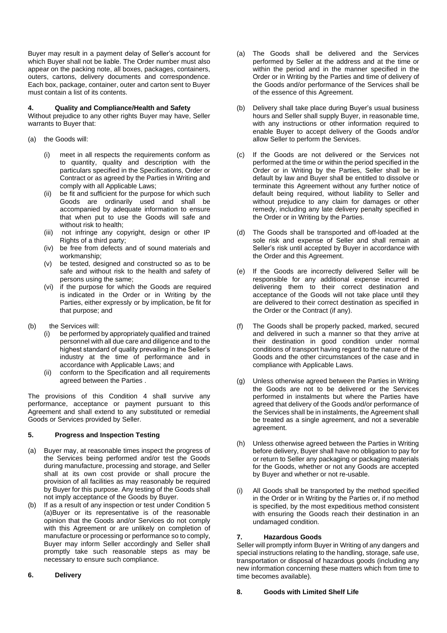Buyer may result in a payment delay of Seller's account for which Buyer shall not be liable. The Order number must also appear on the packing note, all boxes, packages, containers, outers, cartons, delivery documents and correspondence. Each box, package, container, outer and carton sent to Buyer must contain a list of its contents.

### **4. Quality and Compliance/Health and Safety**

Without prejudice to any other rights Buyer may have, Seller warrants to Buyer that:

- (a) the Goods will:
	- (i) meet in all respects the requirements conform as to quantity, quality and description with the particulars specified in the Specifications, Order or Contract or as agreed by the Parties in Writing and comply with all Applicable Laws;
	- (ii) be fit and sufficient for the purpose for which such Goods are ordinarily used and shall be accompanied by adequate information to ensure that when put to use the Goods will safe and without risk to health;
	- (iii) not infringe any copyright, design or other IP Rights of a third party;
	- (iv) be free from defects and of sound materials and workmanship;
	- (v) be tested, designed and constructed so as to be safe and without risk to the health and safety of persons using the same;
	- (vi) if the purpose for which the Goods are required is indicated in the Order or in Writing by the Parties, either expressly or by implication, be fit for that purpose; and
- (b) the Services will:
	- (i) be performed by appropriately qualified and trained personnel with all due care and diligence and to the highest standard of quality prevailing in the Seller's industry at the time of performance and in accordance with Applicable Laws; and
	- (ii) conform to the Specification and all requirements agreed between the Parties .

The provisions of this Condition 4 shall survive any performance, acceptance or payment pursuant to this Agreement and shall extend to any substituted or remedial Goods or Services provided by Seller.

# **5. Progress and Inspection Testing**

- (a) Buyer may, at reasonable times inspect the progress of the Services being performed and/or test the Goods during manufacture, processing and storage, and Seller shall at its own cost provide or shall procure the provision of all facilities as may reasonably be required by Buyer for this purpose. Any testing of the Goods shall not imply acceptance of the Goods by Buyer.
- (b) If as a result of any inspection or test under Condition 5 (a)Buyer or its representative is of the reasonable opinion that the Goods and/or Services do not comply with this Agreement or are unlikely on completion of manufacture or processing or performance so to comply, Buyer may inform Seller accordingly and Seller shall promptly take such reasonable steps as may be necessary to ensure such compliance.
- **6. Delivery**
- (a) The Goods shall be delivered and the Services performed by Seller at the address and at the time or within the period and in the manner specified in the Order or in Writing by the Parties and time of delivery of the Goods and/or performance of the Services shall be of the essence of this Agreement.
- (b) Delivery shall take place during Buyer's usual business hours and Seller shall supply Buyer, in reasonable time, with any instructions or other information required to enable Buyer to accept delivery of the Goods and/or allow Seller to perform the Services.
- (c) If the Goods are not delivered or the Services not performed at the time or within the period specified in the Order or in Writing by the Parties, Seller shall be in default by law and Buyer shall be entitled to dissolve or terminate this Agreement without any further notice of default being required, without liability to Seller and without prejudice to any claim for damages or other remedy, including any late delivery penalty specified in the Order or in Writing by the Parties.
- (d) The Goods shall be transported and off-loaded at the sole risk and expense of Seller and shall remain at Seller's risk until accepted by Buyer in accordance with the Order and this Agreement.
- (e) If the Goods are incorrectly delivered Seller will be responsible for any additional expense incurred in delivering them to their correct destination and acceptance of the Goods will not take place until they are delivered to their correct destination as specified in the Order or the Contract (if any).
- (f) The Goods shall be properly packed, marked, secured and delivered in such a manner so that they arrive at their destination in good condition under normal conditions of transport having regard to the nature of the Goods and the other circumstances of the case and in compliance with Applicable Laws.
- (g) Unless otherwise agreed between the Parties in Writing the Goods are not to be delivered or the Services performed in instalments but where the Parties have agreed that delivery of the Goods and/or performance of the Services shall be in instalments, the Agreement shall be treated as a single agreement, and not a severable agreement.
- (h) Unless otherwise agreed between the Parties in Writing before delivery, Buyer shall have no obligation to pay for or return to Seller any packaging or packaging materials for the Goods, whether or not any Goods are accepted by Buyer and whether or not re-usable.
- (i) All Goods shall be transported by the method specified in the Order or in Writing by the Parties or, if no method is specified, by the most expeditious method consistent with ensuring the Goods reach their destination in an undamaged condition.

# **7. Hazardous Goods**

Seller will promptly inform Buyer in Writing of any dangers and special instructions relating to the handling, storage, safe use, transportation or disposal of hazardous goods (including any new information concerning these matters which from time to time becomes available).

# **8. Goods with Limited Shelf Life**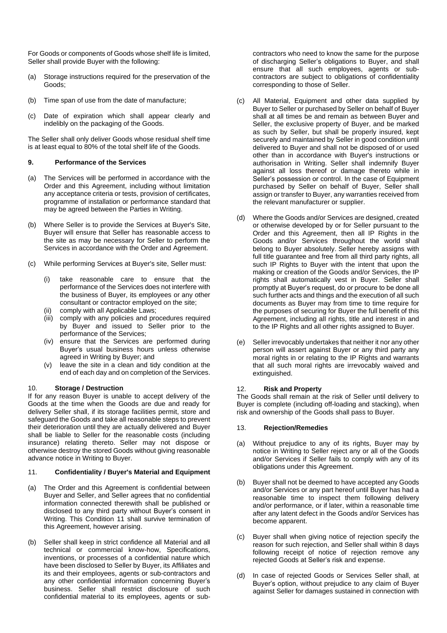For Goods or components of Goods whose shelf life is limited, Seller shall provide Buyer with the following:

- (a) Storage instructions required for the preservation of the Goods;
- (b) Time span of use from the date of manufacture;
- (c) Date of expiration which shall appear clearly and indelibly on the packaging of the Goods.

The Seller shall only deliver Goods whose residual shelf time is at least equal to 80% of the total shelf life of the Goods.

## **9. Performance of the Services**

- (a) The Services will be performed in accordance with the Order and this Agreement, including without limitation any acceptance criteria or tests, provision of certificates, programme of installation or performance standard that may be agreed between the Parties in Writing.
- (b) Where Seller is to provide the Services at Buyer's Site, Buyer will ensure that Seller has reasonable access to the site as may be necessary for Seller to perform the Services in accordance with the Order and Agreement.
- (c) While performing Services at Buyer's site, Seller must:
	- (i) take reasonable care to ensure that the performance of the Services does not interfere with the business of Buyer, its employees or any other consultant or contractor employed on the site;
	- comply with all Applicable Laws;
	- (iii) comply with any policies and procedures required by Buyer and issued to Seller prior to the performance of the Services;
	- (iv) ensure that the Services are performed during Buyer's usual business hours unless otherwise agreed in Writing by Buyer; and
	- (v) leave the site in a clean and tidy condition at the end of each day and on completion of the Services.

#### 10. **Storage / Destruction**

If for any reason Buyer is unable to accept delivery of the Goods at the time when the Goods are due and ready for delivery Seller shall, if its storage facilities permit, store and safeguard the Goods and take all reasonable steps to prevent their deterioration until they are actually delivered and Buyer shall be liable to Seller for the reasonable costs (including insurance) relating thereto. Seller may not dispose or otherwise destroy the stored Goods without giving reasonable advance notice in Writing to Buyer.

### 11. **Confidentiality / Buyer's Material and Equipment**

- (a) The Order and this Agreement is confidential between Buyer and Seller, and Seller agrees that no confidential information connected therewith shall be published or disclosed to any third party without Buyer's consent in Writing. This Condition 11 shall survive termination of this Agreement, however arising.
- (b) Seller shall keep in strict confidence all Material and all technical or commercial know-how, Specifications, inventions, or processes of a confidential nature which have been disclosed to Seller by Buyer, its Affiliates and its and their employees, agents or sub-contractors and any other confidential information concerning Buyer's business. Seller shall restrict disclosure of such confidential material to its employees, agents or sub-

contractors who need to know the same for the purpose of discharging Seller's obligations to Buyer, and shall ensure that all such employees, agents or subcontractors are subject to obligations of confidentiality corresponding to those of Seller.

- (c) All Material, Equipment and other data supplied by Buyer to Seller or purchased by Seller on behalf of Buyer shall at all times be and remain as between Buyer and Seller, the exclusive property of Buyer, and be marked as such by Seller, but shall be properly insured, kept securely and maintained by Seller in good condition until delivered to Buyer and shall not be disposed of or used other than in accordance with Buyer's instructions or authorisation in Writing. Seller shall indemnify Buyer against all loss thereof or damage thereto while in Seller's possession or control. In the case of Equipment purchased by Seller on behalf of Buyer, Seller shall assign or transfer to Buyer, any warranties received from the relevant manufacturer or supplier.
- (d) Where the Goods and/or Services are designed, created or otherwise developed by or for Seller pursuant to the Order and this Agreement, then all IP Rights in the Goods and/or Services throughout the world shall belong to Buyer absolutely. Seller hereby assigns with full title guarantee and free from all third party rights, all such IP Rights to Buyer with the intent that upon the making or creation of the Goods and/or Services, the IP rights shall automatically vest in Buyer. Seller shall promptly at Buyer's request, do or procure to be done all such further acts and things and the execution of all such documents as Buyer may from time to time require for the purposes of securing for Buyer the full benefit of this Agreement, including all rights, title and interest in and to the IP Rights and all other rights assigned to Buyer.
- (e) Seller irrevocably undertakes that neither it nor any other person will assert against Buyer or any third party any moral rights in or relating to the IP Rights and warrants that all such moral rights are irrevocably waived and extinguished.

#### 12. **Risk and Property**

The Goods shall remain at the risk of Seller until delivery to Buyer is complete (including off-loading and stacking), when risk and ownership of the Goods shall pass to Buyer.

#### 13. **Rejection/Remedies**

- (a) Without prejudice to any of its rights, Buyer may by notice in Writing to Seller reject any or all of the Goods and/or Services if Seller fails to comply with any of its obligations under this Agreement.
- (b) Buyer shall not be deemed to have accepted any Goods and/or Services or any part hereof until Buyer has had a reasonable time to inspect them following delivery and/or performance, or if later, within a reasonable time after any latent defect in the Goods and/or Services has become apparent.
- (c) Buyer shall when giving notice of rejection specify the reason for such rejection, and Seller shall within 8 days following receipt of notice of rejection remove any rejected Goods at Seller's risk and expense.
- (d) In case of rejected Goods or Services Seller shall, at Buyer's option, without prejudice to any claim of Buyer against Seller for damages sustained in connection with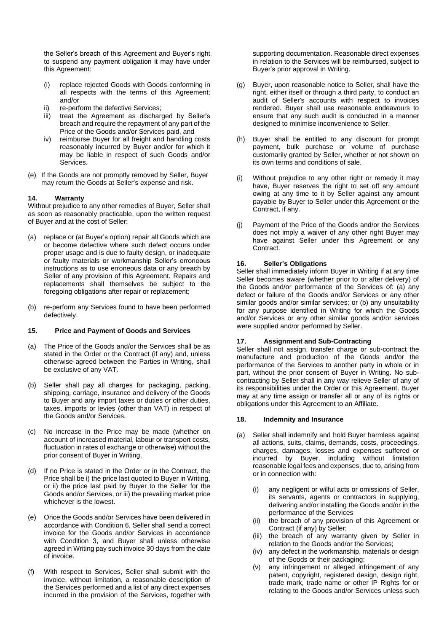the Seller's breach of this Agreement and Buyer's right to suspend any payment obligation it may have under this Agreement:

- (i) replace rejected Goods with Goods conforming in all respects with the terms of this Agreement; and/or
- ii) re-perform the defective Services;
- iii) treat the Agreement as discharged by Seller's breach and require the repayment of any part of the Price of the Goods and/or Services paid, and
- iv) reimburse Buyer for all freight and handling costs reasonably incurred by Buyer and/or for which it may be liable in respect of such Goods and/or Services.
- (e) If the Goods are not promptly removed by Seller, Buyer may return the Goods at Seller's expense and risk.

# **14. Warranty**

Without prejudice to any other remedies of Buyer, Seller shall as soon as reasonably practicable, upon the written request of Buyer and at the cost of Seller:

- (a) replace or (at Buyer's option) repair all Goods which are or become defective where such defect occurs under proper usage and is due to faulty design, or inadequate or faulty materials or workmanship Seller's erroneous instructions as to use erroneous data or any breach by Seller of any provision of this Agreement. Repairs and replacements shall themselves be subject to the foregoing obligations after repair or replacement;
- (b) re-perform any Services found to have been performed defectively.

#### **15. Price and Payment of Goods and Services**

- (a) The Price of the Goods and/or the Services shall be as stated in the Order or the Contract (if any) and, unless otherwise agreed between the Parties in Writing, shall be exclusive of any VAT.
- (b) Seller shall pay all charges for packaging, packing, shipping, carriage, insurance and delivery of the Goods to Buyer and any import taxes or duties or other duties, taxes, imports or levies (other than VAT) in respect of the Goods and/or Services.
- (c) No increase in the Price may be made (whether on account of increased material, labour or transport costs, fluctuation in rates of exchange or otherwise) without the prior consent of Buyer in Writing.
- (d) If no Price is stated in the Order or in the Contract, the Price shall be i) the price last quoted to Buyer in Writing, or ii) the price last paid by Buyer to the Seller for the Goods and/or Services, or iii) the prevailing market price whichever is the lowest.
- (e) Once the Goods and/or Services have been delivered in accordance with Condition 6, Seller shall send a correct invoice for the Goods and/or Services in accordance with Condition 3, and Buyer shall unless otherwise agreed in Writing pay such invoice 30 days from the date of invoice.
- (f) With respect to Services, Seller shall submit with the invoice, without limitation, a reasonable description of the Services performed and a list of any direct expenses incurred in the provision of the Services, together with

supporting documentation. Reasonable direct expenses in relation to the Services will be reimbursed, subject to Buyer's prior approval in Writing.

- (g) Buyer, upon reasonable notice to Seller, shall have the right, either itself or through a third party, to conduct an audit of Seller's accounts with respect to invoices rendered. Buyer shall use reasonable endeavours to ensure that any such audit is conducted in a manner designed to minimise inconvenience to Seller.
- (h) Buyer shall be entitled to any discount for prompt payment, bulk purchase or volume of purchase customarily granted by Seller, whether or not shown on its own terms and conditions of sale.
- (i) Without prejudice to any other right or remedy it may have, Buyer reserves the right to set off any amount owing at any time to it by Seller against any amount payable by Buyer to Seller under this Agreement or the Contract, if any.
- (j) Payment of the Price of the Goods and/or the Services does not imply a waiver of any other right Buyer may have against Seller under this Agreement or any **Contract**

# **16. Seller's Obligations**

Seller shall immediately inform Buyer in Writing if at any time Seller becomes aware (whether prior to or after delivery) of the Goods and/or performance of the Services of: (a) any defect or failure of the Goods and/or Services or any other similar goods and/or similar services; or (b) any unsuitability for any purpose identified in Writing for which the Goods and/or Services or any other similar goods and/or services were supplied and/or performed by Seller.

# **17. Assignment and Sub-Contracting**

Seller shall not assign, transfer charge or sub-contract the manufacture and production of the Goods and/or the performance of the Services to another party in whole or in part, without the prior consent of Buyer in Writing. No subcontracting by Seller shall in any way relieve Seller of any of its responsibilities under the Order or this Agreement. Buyer may at any time assign or transfer all or any of its rights or obligations under this Agreement to an Affiliate.

# **18. Indemnity and Insurance**

- (a) Seller shall indemnify and hold Buyer harmless against all actions, suits, claims, demands, costs, proceedings, charges, damages, losses and expenses suffered or incurred by Buyer, including without limitation reasonable legal fees and expenses, due to, arising from or in connection with:
	- (i) any negligent or wilful acts or omissions of Seller, its servants, agents or contractors in supplying, delivering and/or installing the Goods and/or in the performance of the Services
	- the breach of any provision of this Agreement or Contract (if any) by Seller;
	- (iii) the breach of any warranty given by Seller in relation to the Goods and/or the Services;
	- (iv) any defect in the workmanship, materials or design of the Goods or their packaging;
	- (v) any infringement or alleged infringement of any patent, copyright, registered design, design right, trade mark, trade name or other IP Rights for or relating to the Goods and/or Services unless such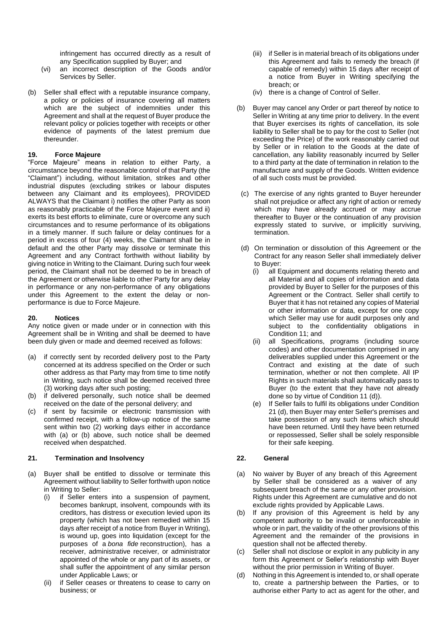infringement has occurred directly as a result of any Specification supplied by Buyer; and

- (vi) an incorrect description of the Goods and/or Services by Seller.
- (b) Seller shall effect with a reputable insurance company, a policy or policies of insurance covering all matters which are the subject of indemnities under this Agreement and shall at the request of Buyer produce the relevant policy or policies together with receipts or other evidence of payments of the latest premium due thereunder.

#### **19. Force Majeure**

"Force Majeure" means in relation to either Party, a circumstance beyond the reasonable control of that Party (the "Claimant") including, without limitation, strikes and other industrial disputes (excluding strikes or labour disputes between any Claimant and its employees), PROVIDED ALWAYS that the Claimant i) notifies the other Party as soon as reasonably practicable of the Force Majeure event and ii) exerts its best efforts to eliminate, cure or overcome any such circumstances and to resume performance of its obligations in a timely manner. If such failure or delay continues for a period in excess of four (4) weeks, the Claimant shall be in default and the other Party may dissolve or terminate this Agreement and any Contract forthwith without liability by giving notice in Writing to the Claimant. During such four week period, the Claimant shall not be deemed to be in breach of the Agreement or otherwise liable to other Party for any delay in performance or any non-performance of any obligations under this Agreement to the extent the delay or nonperformance is due to Force Majeure.

#### **20. Notices**

Any notice given or made under or in connection with this Agreement shall be in Writing and shall be deemed to have been duly given or made and deemed received as follows:

- (a) if correctly sent by recorded delivery post to the Party concerned at its address specified on the Order or such other address as that Party may from time to time notify in Writing, such notice shall be deemed received three (3) working days after such posting;
- (b) if delivered personally, such notice shall be deemed received on the date of the personal delivery; and
- (c) if sent by facsimile or electronic transmission with confirmed receipt, with a follow-up notice of the same sent within two (2) working days either in accordance with (a) or (b) above, such notice shall be deemed received when despatched.

#### **21. Termination and Insolvency**

- (a) Buyer shall be entitled to dissolve or terminate this Agreement without liability to Seller forthwith upon notice in Writing to Seller:
	- (i) if Seller enters into a suspension of payment, becomes bankrupt, insolvent, compounds with its creditors, has distress or execution levied upon its property (which has not been remedied within 15 days after receipt of a notice from Buyer in Writing), is wound up, goes into liquidation (except for the purposes of a *bona fide* reconstruction), has a receiver, administrative receiver, or administrator appointed of the whole or any part of its assets, or shall suffer the appointment of any similar person under Applicable Laws; or
	- (ii) if Seller ceases or threatens to cease to carry on business; or
- (iii) if Seller is in material breach of its obligations under this Agreement and fails to remedy the breach (if capable of remedy) within 15 days after receipt of a notice from Buyer in Writing specifying the breach; or
- (iv) there is a change of Control of Seller.
- (b) Buyer may cancel any Order or part thereof by notice to Seller in Writing at any time prior to delivery. In the event that Buyer exercises its rights of cancellation, its sole liability to Seller shall be to pay for the cost to Seller (not exceeding the Price) of the work reasonably carried out by Seller or in relation to the Goods at the date of cancellation, any liability reasonably incurred by Seller to a third party at the date of termination in relation to the manufacture and supply of the Goods. Written evidence of all such costs must be provided.
	- (c) The exercise of any rights granted to Buyer hereunder shall not prejudice or affect any right of action or remedy which may have already accrued or may accrue thereafter to Buyer or the continuation of any provision expressly stated to survive, or implicitly surviving, termination.
- (d) On termination or dissolution of this Agreement or the Contract for any reason Seller shall immediately deliver to Buyer:
	- (i) all Equipment and documents relating thereto and all Material and all copies of information and data provided by Buyer to Seller for the purposes of this Agreement or the Contract. Seller shall certify to Buyer that it has not retained any copies of Material or other information or data, except for one copy which Seller may use for audit purposes only and subject to the confidentiality obligations in Condition 11; and
	- (ii) all Specifications, programs (including source codes) and other documentation comprised in any deliverables supplied under this Agreement or the Contract and existing at the date of such termination, whether or not then complete. All IP Rights in such materials shall automatically pass to Buyer (to the extent that they have not already done so by virtue of Condition 11 (d)).
	- (e) If Seller fails to fulfil its obligations under Condition 21 (d), then Buyer may enter Seller's premises and take possession of any such items which should have been returned. Until they have been returned or repossessed, Seller shall be solely responsible for their safe keeping.

## **22. General**

- (a) No waiver by Buyer of any breach of this Agreement by Seller shall be considered as a waiver of any subsequent breach of the same or any other provision. Rights under this Agreement are cumulative and do not exclude rights provided by Applicable Laws.
- (b) If any provision of this Agreement is held by any competent authority to be invalid or unenforceable in whole or in part, the validity of the other provisions of this Agreement and the remainder of the provisions in question shall not be affected thereby.
- (c) Seller shall not disclose or exploit in any publicity in any form this Agreement or Seller's relationship with Buyer without the prior permission in Writing of Buyer.
- (d) Nothing in this Agreement is intended to, or shall operate to, create a partnership between the Parties, or to authorise either Party to act as agent for the other, and